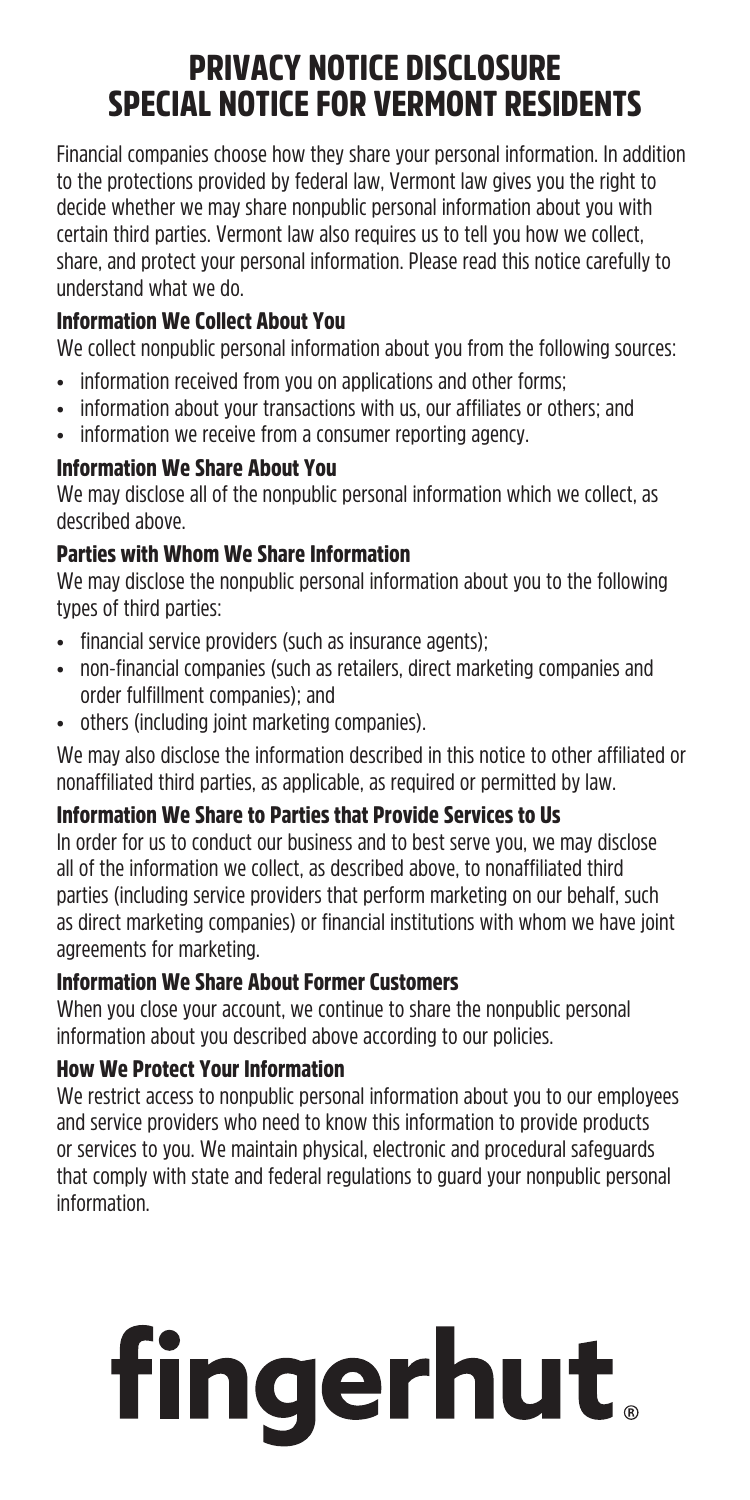# PRIVACY NOTICE DISCLOSURE SPECIAL NOTICE FOR VERMONT RESIDENTS

Financial companies choose how they share your personal information. In addition to the protections provided by federal law, Vermont law gives you the right to decide whether we may share nonpublic personal information about you with certain third parties. Vermont law also requires us to tell you how we collect, share, and protect your personal information. Please read this notice carefully to understand what we do.

# Information We Collect About You

We collect nonpublic personal information about you from the following sources:

- information received from you on applications and other forms:
- information about your transactions with us, our affiliates or others; and
- information we receive from a consumer reporting agency.

# Information We Share About You

We may disclose all of the nonpublic personal information which we collect, as described above.

# Parties with Whom We Share Information

We may disclose the nonpublic personal information about you to the following types of third parties:

- financial service providers (such as insurance agents);
- non-financial companies (such as retailers, direct marketing companies and order fulfillment companies); and
- others (including joint marketing companies).

We may also disclose the information described in this notice to other affiliated or nonaffiliated third parties, as applicable, as required or permitted by law.

# Information We Share to Parties that Provide Services to Us

In order for us to conduct our business and to best serve you, we may disclose all of the information we collect, as described above, to nonaffiliated third parties (including service providers that perform marketing on our behalf, such as direct marketing companies) or financial institutions with whom we have joint agreements for marketing.

# Information We Share About Former Customers

When you close your account, we continue to share the nonpublic personal information about you described above according to our policies.

# How We Protect Your Information

We restrict access to nonpublic personal information about you to our employees and service providers who need to know this information to provide products or services to you. We maintain physical, electronic and procedural safeguards that comply with state and federal regulations to guard your nonpublic personal information.

# **fingerhut.**